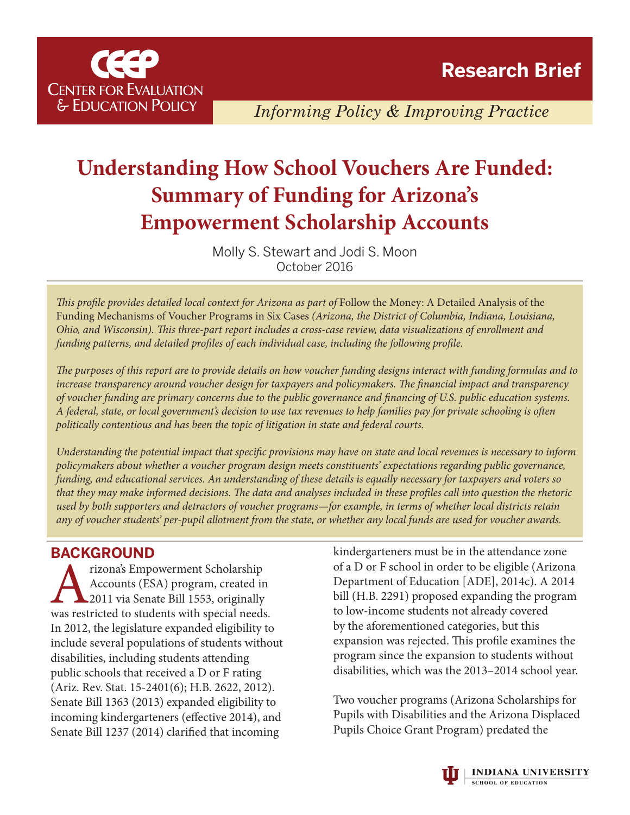

*Informing Policy & Improving Practice*

# **Understanding How School Vouchers Are Funded: Summary of Funding for Arizona's Empowerment Scholarship Accounts**

Molly S. Stewart and Jodi S. Moon October 2016

*This profile provides detailed local context for Arizona as part of Follow the Money: A Detailed Analysis of the* Funding Mechanisms of Voucher Programs in Six Cases *([Arizona,](http://ceep.indiana.edu/pdf/2016_Voucher_Funding_Arizona_RPB.pdf) [the District of Columbia](http://ceep.indiana.edu/pdf/2016_Voucher_Funding_DC_RPB.pdf), [Indiana](http://ceep.indiana.edu/pdf/2016_Voucher_Funding_Indiana_RPB.pdf), [Louisiana](http://ceep.indiana.edu/pdf/2016_Voucher_Funding_Louisiana_RPB.pdf), [Ohio,](http://ceep.indiana.edu/pdf/2016_Voucher_Funding_Ohio_RPB.pdf) and [Wisconsin\)](http://ceep.indiana.edu/pdf/2016_Voucher_Funding_Wisconsin_RPB.pdf). This three-part report includes a[cross-case review,](http://ceep.indiana.edu/pdf/2016_Voucher_Funding_Cross-Site_RPB.pdf) [data visualizations of enrollment and](http://ceep.indiana.edu/policy/tools_resources/2016_voucher_funding.html) [funding patterns](http://ceep.indiana.edu/policy/tools_resources/2016_voucher_funding.html), and detailed profiles of each individual case, including the following profile.* 

*The purposes of this report are to provide details on how voucher funding designs interact with funding formulas and to increase transparency around voucher design for taxpayers and policymakers. The financial impact and transparency of voucher funding are primary concerns due to the public governance and financing of U.S. public education systems. A federal, state, or local government's decision to use tax revenues to help families pay for private schooling is often politically contentious and has been the topic of litigation in state and federal courts.* 

*Understanding the potential impact that specific provisions may have on state and local revenues is necessary to inform policymakers about whether a voucher program design meets constituents' expectations regarding public governance, funding, and educational services. An understanding of these details is equally necessary for taxpayers and voters so that they may make informed decisions. The data and analyses included in these profiles call into question the rhetoric used by both supporters and detractors of voucher programs—for example, in terms of whether local districts retain any of voucher students' per-pupil allotment from the state, or whether any local funds are used for voucher awards.*

# **BACKGROUND**

Fizona's Empowerment Scholarship<br>Accounts (ESA) program, created in<br>2011 via Senate Bill 1553, originally<br>was restricted to students with special needs. Accounts (ESA) program, created in 2011 via Senate Bill 1553, originally In 2012, the legislature expanded eligibility to include several populations of students without disabilities, including students attending public schools that received a D or F rating (Ariz. Rev. Stat. 15-2401(6); H.B. 2622, 2012). Senate Bill 1363 (2013) expanded eligibility to incoming kindergarteners (effective 2014), and Senate Bill 1237 (2014) clarified that incoming

kindergarteners must be in the attendance zone of a D or F school in order to be eligible (Arizona Department of Education [ADE], 2014c). A 2014 bill (H.B. 2291) proposed expanding the program to low-income students not already covered by the aforementioned categories, but this expansion was rejected. This profile examines the program since the expansion to students without disabilities, which was the 2013–2014 school year.

Two voucher programs (Arizona Scholarships for Pupils with Disabilities and the Arizona Displaced Pupils Choice Grant Program) predated the

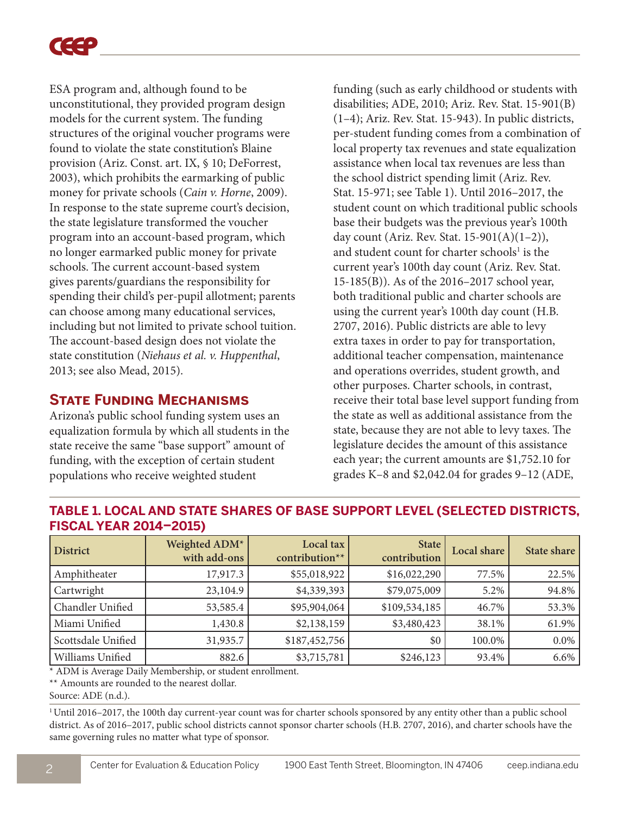

ESA program and, although found to be unconstitutional, they provided program design models for the current system. The funding structures of the original voucher programs were found to violate the state constitution's Blaine provision (Ariz. Const. art. IX, § 10; DeForrest, 2003), which prohibits the earmarking of public money for private schools (*Cain v. Horne*, 2009). In response to the state supreme court's decision, the state legislature transformed the voucher program into an account-based program, which no longer earmarked public money for private schools. The current account-based system gives parents/guardians the responsibility for spending their child's per-pupil allotment; parents can choose among many educational services, including but not limited to private school tuition. The account-based design does not violate the state constitution (*Niehaus et al. v. Huppenthal*, 2013; see also Mead, 2015).

## **State Funding Mechanisms**

Arizona's public school funding system uses an equalization formula by which all students in the state receive the same "base support" amount of funding, with the exception of certain student populations who receive weighted student

funding (such as early childhood or students with disabilities; ADE, 2010; Ariz. Rev. Stat. 15-901(B) (1–4); Ariz. Rev. Stat. 15-943). In public districts, per-student funding comes from a combination of local property tax revenues and state equalization assistance when local tax revenues are less than the school district spending limit (Ariz. Rev. Stat. 15-971; see Table 1). Until 2016–2017, the student count on which traditional public schools base their budgets was the previous year's 100th day count (Ariz. Rev. Stat. 15-901(A)(1–2)), and student count for charter schools<sup>1</sup> is the current year's 100th day count (Ariz. Rev. Stat. 15-185(B)). As of the 2016–2017 school year, both traditional public and charter schools are using the current year's 100th day count (H.B. 2707, 2016). Public districts are able to levy extra taxes in order to pay for transportation, additional teacher compensation, maintenance and operations overrides, student growth, and other purposes. Charter schools, in contrast, receive their total base level support funding from the state as well as additional assistance from the state, because they are not able to levy taxes. The legislature decides the amount of this assistance each year; the current amounts are \$1,752.10 for grades K–8 and \$2,042.04 for grades 9–12 (ADE,

| I KUMAL ILAK EULT EULUI |                               |                             |                         |             |             |  |  |  |
|-------------------------|-------------------------------|-----------------------------|-------------------------|-------------|-------------|--|--|--|
| <b>District</b>         | Weighted ADM*<br>with add-ons | Local tax<br>contribution** | State  <br>contribution | Local share | State share |  |  |  |
| Amphitheater            | 17,917.3                      | \$55,018,922                | \$16,022,290            | 77.5%       | 22.5%       |  |  |  |
| Cartwright              | 23,104.9                      | \$4,339,393                 | \$79,075,009            | 5.2%        | 94.8%       |  |  |  |
| Chandler Unified        | 53,585.4                      | \$95,904,064                | \$109,534,185           | 46.7%       | 53.3%       |  |  |  |
| Miami Unified           | 1,430.8                       | \$2,138,159                 | \$3,480,423             | 38.1%       | 61.9%       |  |  |  |
| Scottsdale Unified      | 31,935.7                      | \$187,452,756               | \$0                     | 100.0%      | $0.0\%$     |  |  |  |
| Williams Unified        | 882.6                         | \$3,715,781                 | \$246,123               | 93.4%       | $6.6\%$     |  |  |  |

### **TABLE 1. LOCAL AND STATE SHARES OF BASE SUPPORT LEVEL (SELECTED DISTRICTS, FISCAL YEAR 2014–2015)**

\* ADM is Average Daily Membership, or student enrollment.

\*\* Amounts are rounded to the nearest dollar.

Source: ADE (n.d.).

1 Until 2016–2017, the 100th day current-year count was for charter schools sponsored by any entity other than a public school district. As of 2016–2017, public school districts cannot sponsor charter schools (H.B. 2707, 2016), and charter schools have the same governing rules no matter what type of sponsor.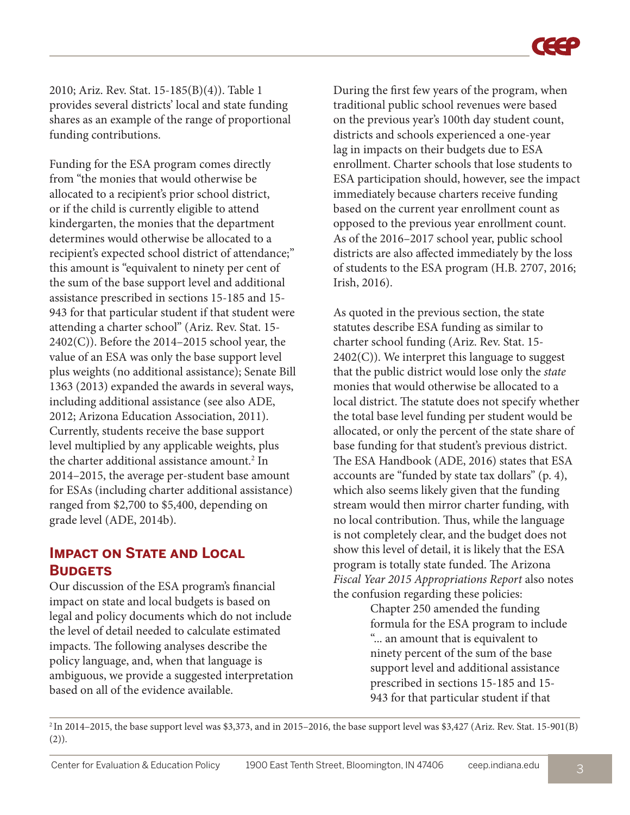2010; Ariz. Rev. Stat. 15-185(B)(4)). Table 1 provides several districts' local and state funding shares as an example of the range of proportional funding contributions.

Funding for the ESA program comes directly from "the monies that would otherwise be allocated to a recipient's prior school district, or if the child is currently eligible to attend kindergarten, the monies that the department determines would otherwise be allocated to a recipient's expected school district of attendance;" this amount is "equivalent to ninety per cent of the sum of the base support level and additional assistance prescribed in sections 15-185 and 15- 943 for that particular student if that student were attending a charter school" (Ariz. Rev. Stat. 15-  $2402(C)$ ). Before the  $2014-2015$  school year, the value of an ESA was only the base support level plus weights (no additional assistance); Senate Bill 1363 (2013) expanded the awards in several ways, including additional assistance (see also ADE, 2012; Arizona Education Association, 2011). Currently, students receive the base support level multiplied by any applicable weights, plus the charter additional assistance amount.<sup>2</sup> In 2014–2015, the average per-student base amount for ESAs (including charter additional assistance) ranged from \$2,700 to \$5,400, depending on grade level (ADE, 2014b).

# **IMPACT ON STATE AND LOCAL Budgets**

Our discussion of the ESA program's financial impact on state and local budgets is based on legal and policy documents which do not include the level of detail needed to calculate estimated impacts. The following analyses describe the policy language, and, when that language is ambiguous, we provide a suggested interpretation based on all of the evidence available.

During the first few years of the program, when traditional public school revenues were based on the previous year's 100th day student count, districts and schools experienced a one-year lag in impacts on their budgets due to ESA enrollment. Charter schools that lose students to ESA participation should, however, see the impact immediately because charters receive funding based on the current year enrollment count as opposed to the previous year enrollment count. As of the 2016–2017 school year, public school districts are also affected immediately by the loss of students to the ESA program (H.B. 2707, 2016; Irish, 2016).

As quoted in the previous section, the state statutes describe ESA funding as similar to charter school funding (Ariz. Rev. Stat. 15-  $2402(C)$ ). We interpret this language to suggest that the public district would lose only the *state* monies that would otherwise be allocated to a local district. The statute does not specify whether the total base level funding per student would be allocated, or only the percent of the state share of base funding for that student's previous district. The ESA Handbook (ADE, 2016) states that ESA accounts are "funded by state tax dollars" (p. 4), which also seems likely given that the funding stream would then mirror charter funding, with no local contribution. Thus, while the language is not completely clear, and the budget does not show this level of detail, it is likely that the ESA program is totally state funded. The Arizona *Fiscal Year 2015 Appropriations Report* also notes the confusion regarding these policies:

Chapter 250 amended the funding formula for the ESA program to include "... an amount that is equivalent to ninety percent of the sum of the base support level and additional assistance prescribed in sections 15-185 and 15- 943 for that particular student if that

2 In 2014–2015, the base support level was \$3,373, and in 2015–2016, the base support level was \$3,427 (Ariz. Rev. Stat. 15-901(B)  $(2)$ ).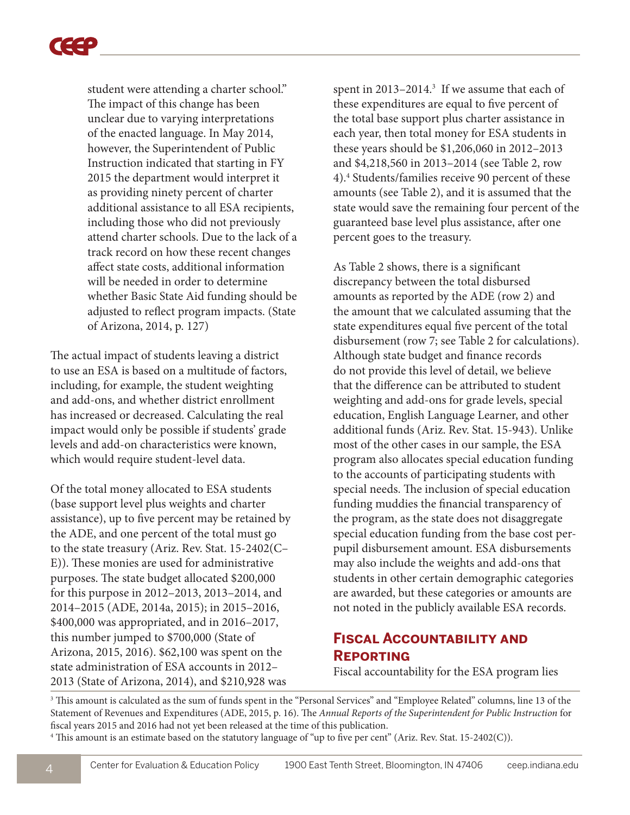

student were attending a charter school." The impact of this change has been unclear due to varying interpretations of the enacted language. In May 2014, however, the Superintendent of Public Instruction indicated that starting in FY 2015 the department would interpret it as providing ninety percent of charter additional assistance to all ESA recipients, including those who did not previously attend charter schools. Due to the lack of a track record on how these recent changes affect state costs, additional information will be needed in order to determine whether Basic State Aid funding should be adjusted to reflect program impacts. (State of Arizona, 2014, p. 127)

The actual impact of students leaving a district to use an ESA is based on a multitude of factors, including, for example, the student weighting and add-ons, and whether district enrollment has increased or decreased. Calculating the real impact would only be possible if students' grade levels and add-on characteristics were known, which would require student-level data.

Of the total money allocated to ESA students (base support level plus weights and charter assistance), up to five percent may be retained by the ADE, and one percent of the total must go to the state treasury (Ariz. Rev. Stat. 15-2402(C– E)). These monies are used for administrative purposes. The state budget allocated \$200,000 for this purpose in 2012–2013, 2013–2014, and 2014–2015 (ADE, 2014a, 2015); in 2015–2016, \$400,000 was appropriated, and in 2016–2017, this number jumped to \$700,000 (State of Arizona, 2015, 2016). \$62,100 was spent on the state administration of ESA accounts in 2012– 2013 (State of Arizona, 2014), and \$210,928 was

spent in 2013–2014. $3$  If we assume that each of these expenditures are equal to five percent of the total base support plus charter assistance in each year, then total money for ESA students in these years should be \$1,206,060 in 2012–2013 and \$4,218,560 in 2013–2014 (see Table 2, row 4).4 Students/families receive 90 percent of these amounts (see Table 2), and it is assumed that the state would save the remaining four percent of the guaranteed base level plus assistance, after one percent goes to the treasury.

As Table 2 shows, there is a significant discrepancy between the total disbursed amounts as reported by the ADE (row 2) and the amount that we calculated assuming that the state expenditures equal five percent of the total disbursement (row 7; see Table 2 for calculations). Although state budget and finance records do not provide this level of detail, we believe that the difference can be attributed to student weighting and add-ons for grade levels, special education, English Language Learner, and other additional funds (Ariz. Rev. Stat. 15-943). Unlike most of the other cases in our sample, the ESA program also allocates special education funding to the accounts of participating students with special needs. The inclusion of special education funding muddies the financial transparency of the program, as the state does not disaggregate special education funding from the base cost perpupil disbursement amount. ESA disbursements may also include the weights and add-ons that students in other certain demographic categories are awarded, but these categories or amounts are not noted in the publicly available ESA records.

# **Fiscal Accountability and Reporting**

Fiscal accountability for the ESA program lies

3 This amount is calculated as the sum of funds spent in the "Personal Services" and "Employee Related" columns, line 13 of the Statement of Revenues and Expenditures (ADE, 2015, p. 16). The *Annual Reports of the Superintendent for Public Instruction* for fiscal years 2015 and 2016 had not yet been released at the time of this publication.

4 This amount is an estimate based on the statutory language of "up to five per cent" (Ariz. Rev. Stat. 15-2402(C)).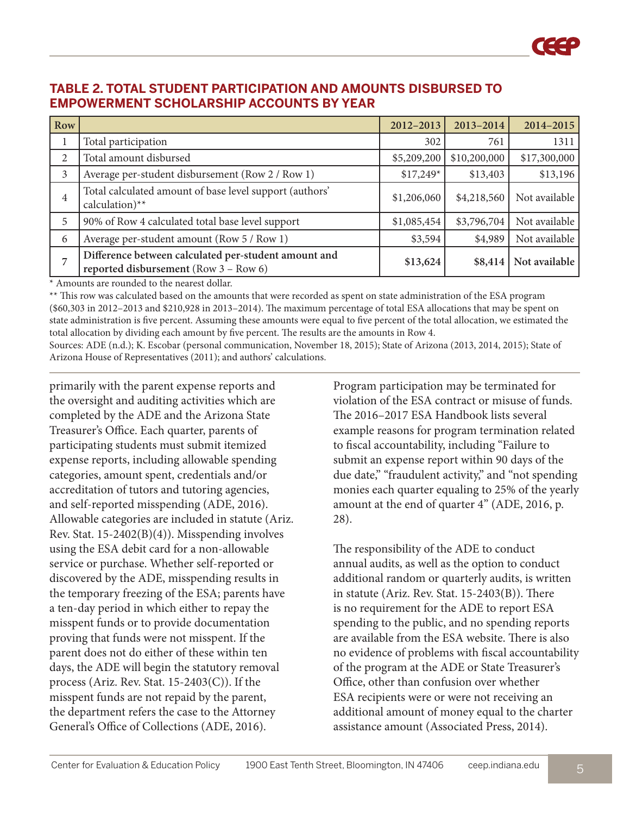#### **TABLE 2. TOTAL STUDENT PARTICIPATION AND AMOUNTS DISBURSED TO EMPOWERMENT SCHOLARSHIP ACCOUNTS BY YEAR**

| Row |                                                                                               | 2012-2013   | 2013-2014    | 2014-2015     |
|-----|-----------------------------------------------------------------------------------------------|-------------|--------------|---------------|
|     | Total participation                                                                           | 302         | 761          | 1311          |
| 2   | Total amount disbursed                                                                        | \$5,209,200 | \$10,200,000 | \$17,300,000  |
| 3   | Average per-student disbursement (Row 2 / Row 1)                                              | $$17,249*$  | \$13,403     | \$13,196      |
| 4   | Total calculated amount of base level support (authors'<br>calculation)**                     | \$1,206,060 | \$4,218,560  | Not available |
| 5   | 90% of Row 4 calculated total base level support                                              | \$1,085,454 | \$3,796,704  | Not available |
| 6   | Average per-student amount (Row 5 / Row 1)                                                    | \$3,594     | \$4,989      | Not available |
| 7   | Difference between calculated per-student amount and<br>reported disbursement (Row 3 - Row 6) | \$13,624    | \$8,414      | Not available |

\* Amounts are rounded to the nearest dollar.

\*\* This row was calculated based on the amounts that were recorded as spent on state administration of the ESA program (\$60,303 in 2012–2013 and \$210,928 in 2013–2014). The maximum percentage of total ESA allocations that may be spent on state administration is five percent. Assuming these amounts were equal to five percent of the total allocation, we estimated the total allocation by dividing each amount by five percent. The results are the amounts in Row 4.

Sources: ADE (n.d.); K. Escobar (personal communication, November 18, 2015); State of Arizona (2013, 2014, 2015); State of Arizona House of Representatives (2011); and authors' calculations.

primarily with the parent expense reports and the oversight and auditing activities which are completed by the ADE and the Arizona State Treasurer's Office. Each quarter, parents of participating students must submit itemized expense reports, including allowable spending categories, amount spent, credentials and/or accreditation of tutors and tutoring agencies, and self-reported misspending (ADE, 2016). Allowable categories are included in statute (Ariz. Rev. Stat. 15-2402(B)(4)). Misspending involves using the ESA debit card for a non-allowable service or purchase. Whether self-reported or discovered by the ADE, misspending results in the temporary freezing of the ESA; parents have a ten-day period in which either to repay the misspent funds or to provide documentation proving that funds were not misspent. If the parent does not do either of these within ten days, the ADE will begin the statutory removal process (Ariz. Rev. Stat. 15-2403(C)). If the misspent funds are not repaid by the parent, the department refers the case to the Attorney General's Office of Collections (ADE, 2016).

Program participation may be terminated for violation of the ESA contract or misuse of funds. The 2016–2017 ESA Handbook lists several example reasons for program termination related to fiscal accountability, including "Failure to submit an expense report within 90 days of the due date," "fraudulent activity," and "not spending monies each quarter equaling to 25% of the yearly amount at the end of quarter 4" (ADE, 2016, p. 28).

The responsibility of the ADE to conduct annual audits, as well as the option to conduct additional random or quarterly audits, is written in statute (Ariz. Rev. Stat. 15-2403(B)). There is no requirement for the ADE to report ESA spending to the public, and no spending reports are available from the ESA website. There is also no evidence of problems with fiscal accountability of the program at the ADE or State Treasurer's Office, other than confusion over whether ESA recipients were or were not receiving an additional amount of money equal to the charter assistance amount (Associated Press, 2014).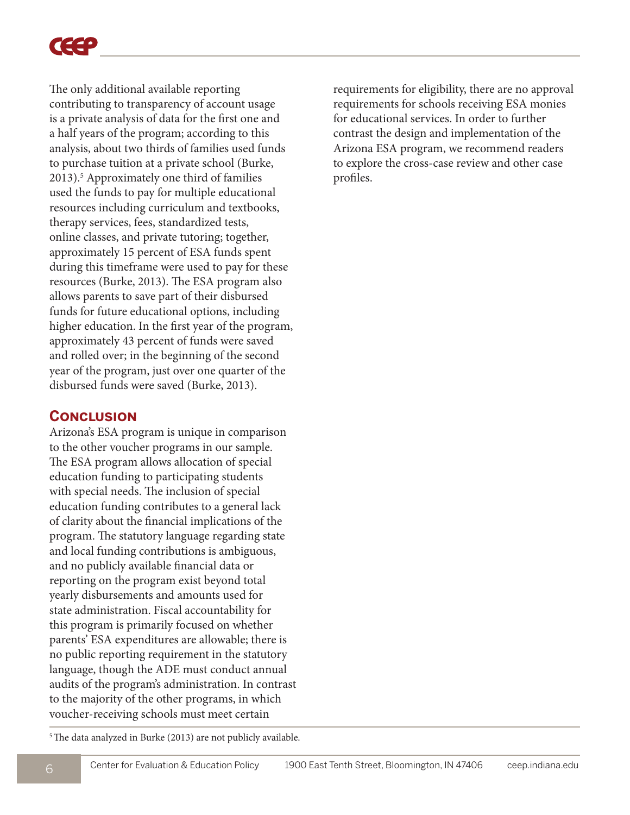

The only additional available reporting contributing to transparency of account usage is a private analysis of data for the first one and a half years of the program; according to this analysis, about two thirds of families used funds to purchase tuition at a private school (Burke, 2013).5 Approximately one third of families used the funds to pay for multiple educational resources including curriculum and textbooks, therapy services, fees, standardized tests, online classes, and private tutoring; together, approximately 15 percent of ESA funds spent during this timeframe were used to pay for these resources (Burke, 2013). The ESA program also allows parents to save part of their disbursed funds for future educational options, including higher education. In the first year of the program, approximately 43 percent of funds were saved and rolled over; in the beginning of the second year of the program, just over one quarter of the disbursed funds were saved (Burke, 2013).

#### **Conclusion**

Arizona's ESA program is unique in comparison to the other voucher programs in our sample. The ESA program allows allocation of special education funding to participating students with special needs. The inclusion of special education funding contributes to a general lack of clarity about the financial implications of the program. The statutory language regarding state and local funding contributions is ambiguous, and no publicly available financial data or reporting on the program exist beyond total yearly disbursements and amounts used for state administration. Fiscal accountability for this program is primarily focused on whether parents' ESA expenditures are allowable; there is no public reporting requirement in the statutory language, though the ADE must conduct annual audits of the program's administration. In contrast to the majority of the other programs, in which voucher-receiving schools must meet certain

requirements for eligibility, there are no approval requirements for schools receiving ESA monies for educational services. In order to further contrast the design and implementation of the Arizona ESA program, we recommend readers to explore the cross-case review and other case profiles.

<sup>5</sup> The data analyzed in Burke (2013) are not publicly available.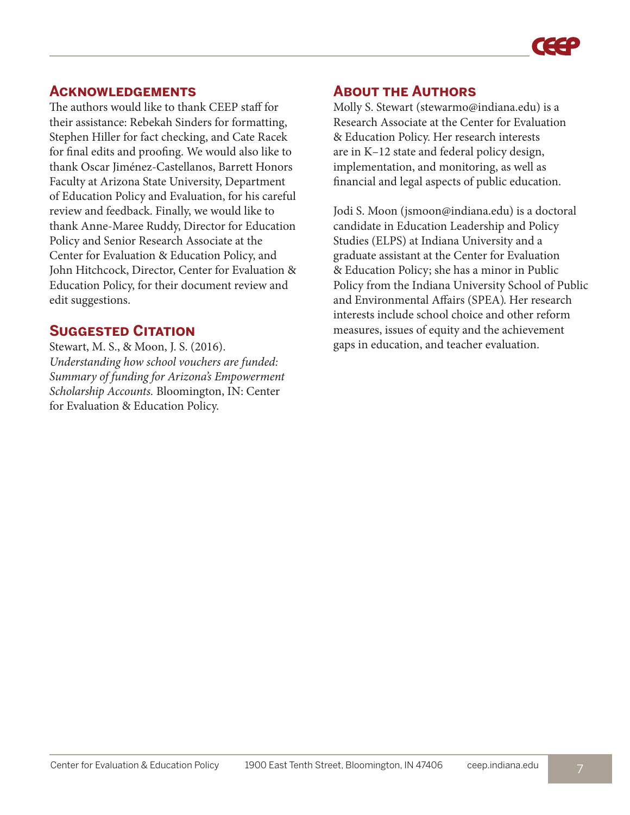

#### **Acknowledgements**

The authors would like to thank CEEP staff for their assistance: Rebekah Sinders for formatting, Stephen Hiller for fact checking, and Cate Racek for final edits and proofing. We would also like to thank Oscar Jiménez-Castellanos, Barrett Honors Faculty at Arizona State University, Department of Education Policy and Evaluation, for his careful review and feedback. Finally, we would like to thank Anne-Maree Ruddy, Director for Education Policy and Senior Research Associate at the Center for Evaluation & Education Policy, and John Hitchcock, Director, Center for Evaluation & Education Policy, for their document review and edit suggestions.

# **Suggested Citation**

Stewart, M. S., & Moon, J. S. (2016). *Understanding how school vouchers are funded: Summary of funding for Arizona's Empowerment Scholarship Accounts.* Bloomington, IN: Center for Evaluation & Education Policy.

#### **About the Authors**

Molly S. Stewart (stewarmo@indiana.edu) is a Research Associate at the Center for Evaluation & Education Policy. Her research interests are in K–12 state and federal policy design, implementation, and monitoring, as well as financial and legal aspects of public education.

Jodi S. Moon (jsmoon@indiana.edu) is a doctoral candidate in Education Leadership and Policy Studies (ELPS) at Indiana University and a graduate assistant at the Center for Evaluation & Education Policy; she has a minor in Public Policy from the Indiana University School of Public and Environmental Affairs (SPEA). Her research interests include school choice and other reform measures, issues of equity and the achievement gaps in education, and teacher evaluation.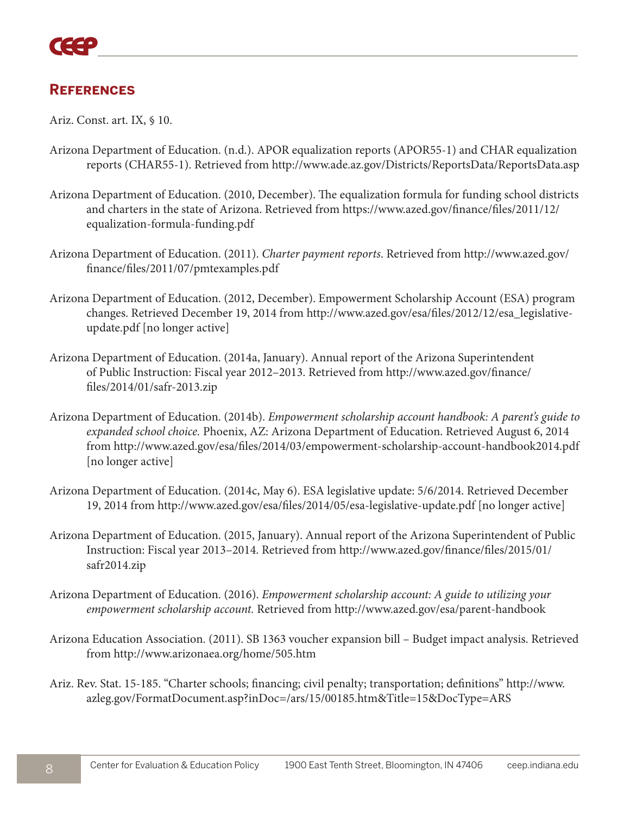# **References**

Ariz. Const. art. IX, § 10.

- Arizona Department of Education. (n.d.). APOR equalization reports (APOR55-1) and CHAR equalization reports (CHAR55-1). Retrieved from<http://www.ade.az.gov/Districts/ReportsData/ReportsData.asp>
- Arizona Department of Education. (2010, December). The equalization formula for funding school districts [and charters in the state of Arizona. Retrieved from https://www.azed.gov/finance/files/2011/12/](https://www.azed.gov/finance/files/2011/12/equalization-formula-funding.pdf) equalization-formula-funding.pdf
- Arizona Department of Education. (2011). *Charter payment reports*. Retrieved from http://www.azed.gov/ [finance/files/2011/07/pmtexamples.pdf](http://www.azed.gov/finance/files/2011/07/pmtexamples.pdf)
- Arizona Department of Education. (2012, December). Empowerment Scholarship Account (ESA) program changes. Retrieved December 19, 2014 from http://www.azed.gov/esa/files/2012/12/esa\_legislativeupdate.pdf [no longer active]
- Arizona Department of Education. (2014a, January). Annual report of the Arizona Superintendent [of Public Instruction: Fiscal year 2012–2013. Retrieved from http://www.azed.gov/finance/](http://www.azed.gov/finance/files/2014/01/safr-2013.zip) files/2014/01/safr-2013.zip
- Arizona Department of Education. (2014b). *Empowerment scholarship account handbook: A parent's guide to expanded school choice.* Phoenix, AZ: Arizona Department of Education. Retrieved August 6, 2014 from http://www.azed.gov/esa/files/2014/03/empowerment-scholarship-account-handbook2014.pdf [no longer active]
- Arizona Department of Education. (2014c, May 6). ESA legislative update: 5/6/2014. Retrieved December 19, 2014 from http://www.azed.gov/esa/files/2014/05/esa-legislative-update.pdf [no longer active]
- Arizona Department of Education. (2015, January). Annual report of the Arizona Superintendent of Public [Instruction: Fiscal year 2013–2014. Retrieved from http://www.azed.gov/finance/files/2015/01/](http://www.azed.gov/finance/files/2015/01/safr2014.zip) safr2014.zip
- Arizona Department of Education. (2016). *Empowerment scholarship account: A guide to utilizing your empowerment scholarship account.* Retrieved from<http://www.azed.gov/esa/parent-handbook>
- Arizona Education Association. (2011). SB 1363 voucher expansion bill Budget impact analysis. Retrieved from<http://www.arizonaea.org/home/505.htm>
- Ariz. R[ev. Stat. 15-185. "Charter schools; financing; civil penalty; transportation; definitions" http://www.](http://www.azleg.gov/FormatDocument.asp?inDoc=/ars/15/00185.htm&Title=15&DocType=ARS) azleg.gov/FormatDocument.asp?inDoc=/ars/15/00185.htm&Title=15&DocType=ARS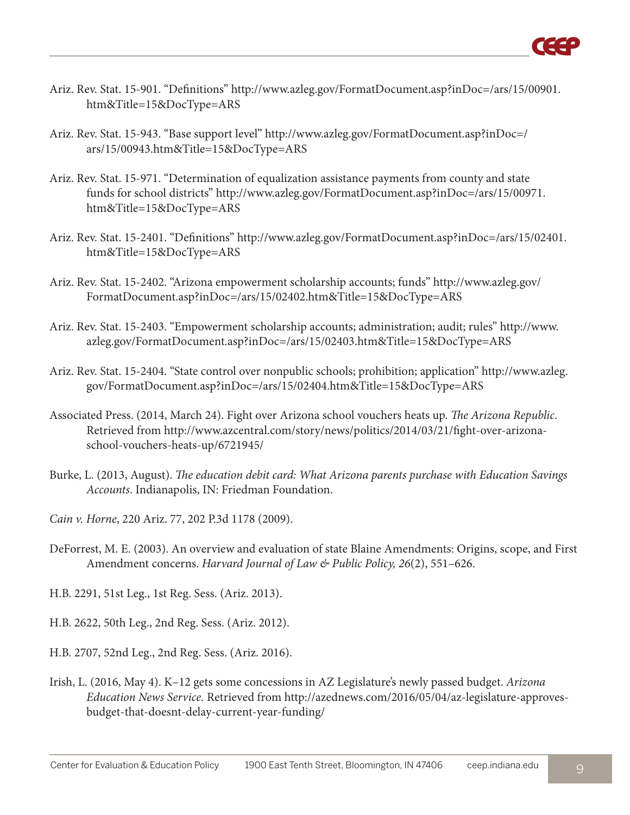

- Ariz. R[ev. Stat. 15-901. "Definitions" http://www.azleg.gov/FormatDocument.asp?inDoc=/ars/15/00901.](http://www.azleg.gov/FormatDocument.asp?inDoc=/ars/15/00901.htm&Title=15&DocType=ARS) htm&Title=15&DocType=ARS
- Ariz. R[ev. Stat. 15-943. "Base support level" http://www.azleg.gov/FormatDocument.asp?inDoc=/](http://www.azleg.gov/FormatDocument.asp?inDoc=/ars/15/00943.htm&Title=15&DocType=ARS) ars/15/00943.htm&Title=15&DocType=ARS
- Ariz. Rev. Stat. 15-971. "Determination of equalization assistance payments from county and state [funds for school districts" http://www.azleg.gov/FormatDocument.asp?inDoc=/ars/15/00971.](http://www.azleg.gov/FormatDocument.asp?inDoc=/ars/15/00971.htm&Title=15&DocType=ARS) htm&Title=15&DocType=ARS
- Ariz. R[ev. Stat. 15-2401. "Definitions" http://www.azleg.gov/FormatDocument.asp?inDoc=/ars/15/02401.](http://www.azleg.gov/FormatDocument.asp?inDoc=/ars/15/02401.htm&Title=15&DocType=ARS) htm&Title=15&DocType=ARS
- Ariz. R[ev. Stat. 15-2402. "Arizona empowerment scholarship accounts; funds" http://www.azleg.gov/](http://www.azleg.gov/FormatDocument.asp?inDoc=/ars/15/02402.htm&Title=15&DocType=ARS) FormatDocument.asp?inDoc=/ars/15/02402.htm&Title=15&DocType=ARS
- Ariz. R[ev. Stat. 15-2403. "Empowerment scholarship accounts; administration; audit; rules" http://www.](http://www.azleg.gov/FormatDocument.asp?inDoc=/ars/15/02403.htm&Title=15&DocType=ARS) azleg.gov/FormatDocument.asp?inDoc=/ars/15/02403.htm&Title=15&DocType=ARS
- Ariz. R[ev. Stat. 15-2404. "State control over nonpublic schools; prohibition; application" http://www.azleg.](http://www.azleg.gov/FormatDocument.asp?inDoc=/ars/15/02404.htm&Title=15&DocType=ARS) gov/FormatDocument.asp?inDoc=/ars/15/02404.htm&Title=15&DocType=ARS
- Associated Press. (2014, March 24). Fight over Arizona school vouchers heats up. *The Arizona Republic*. [Retrieved from http://www.azcentral.com/story/news/politics/2014/03/21/fight-over-arizona](http://www.azcentral.com/story/news/politics/2014/03/21/fight-over-arizona-school-vouchers-heats-up/6721945/)school-vouchers-heats-up/6721945/
- Burke, L. (2013, August). *The education debit card: What Arizona parents purchase with Education Savings Accounts*. Indianapolis, IN: Friedman Foundation.
- *Cain v. Horne*, 220 Ariz. 77, 202 P.3d 1178 (2009).
- DeForrest, M. E. (2003). An overview and evaluation of state Blaine Amendments: Origins, scope, and First Amendment concerns. *Harvard Journal of Law & Public Policy, 26*(2), 551–626.
- H.B. 2291, 51st Leg., 1st Reg. Sess. (Ariz. 2013).
- H.B. 2622, 50th Leg., 2nd Reg. Sess. (Ariz. 2012).
- H.B. 2707, 52nd Leg., 2nd Reg. Sess. (Ariz. 2016).
- Irish, L. (2016, May 4). K–12 gets some concessions in AZ Legislature's newly passed budget. *Arizona Education News Service.* [Retrieved from http://azednews.com/2016/05/04/az-legislature-approves](http://azednews.com/2016/05/04/az-legislature-approves-budget-that-doesnt-delay-current-year-funding/)budget-that-doesnt-delay-current-year-funding/